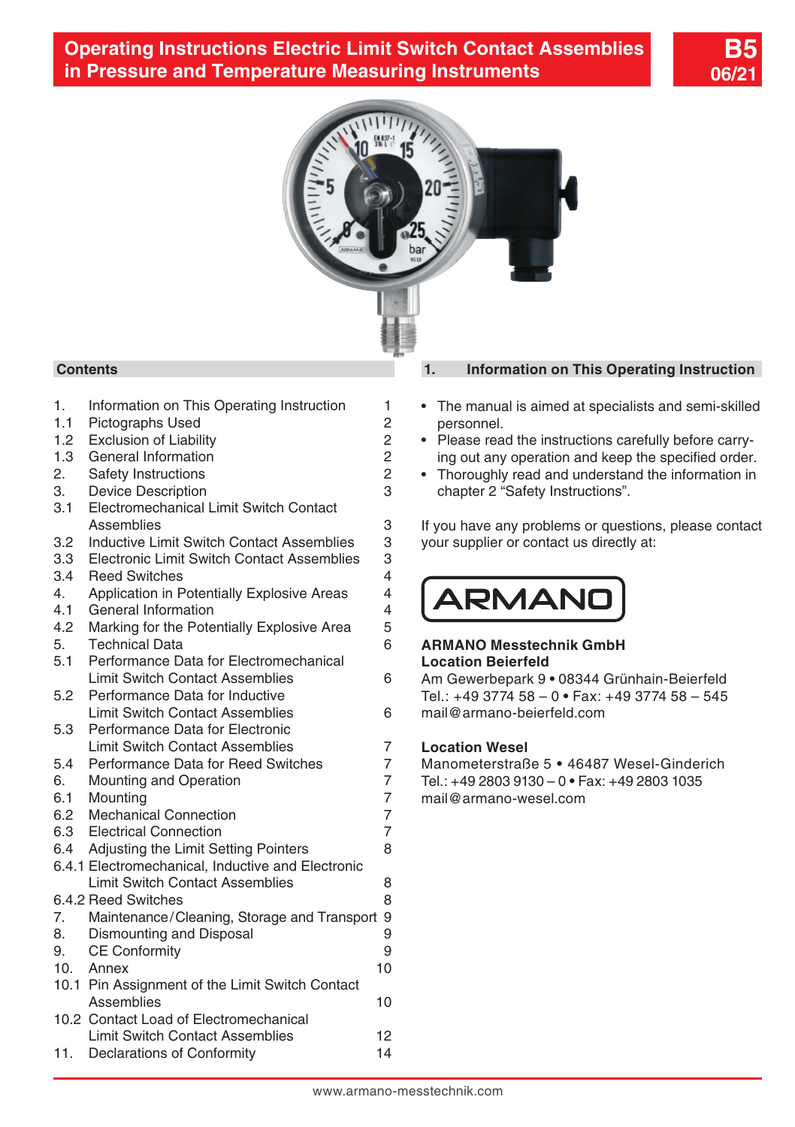



#### **Contents**

| Information on This Operating Instruction |  |
|-------------------------------------------|--|
|-------------------------------------------|--|

- 1.1 Pictographs Used 2
- 1.2 Exclusion of Liability 2<br>1.3 General Information 2
- 1.3 General Information
- 2. Safety Instructions 2
- 3. Device Description 3
- 3.1 Electromechanical Limit Switch Contact Assemblies 3
- 3.2 Inductive Limit Switch Contact Assemblies 3
- 3.3 Electronic Limit Switch Contact Assemblies 3
- 3.4 Reed Switches 4
- 4. Application in Potentially Explosive Areas 4
- 4.1 General Information 4
- 4.2 Marking for the Potentially Explosive Area 5
- 5. Technical Data 6 5.1 Performance Data for Electromechanical
- Limit Switch Contact Assemblies 6
- 5.2 Performance Data for Inductive Limit Switch Contact Assemblies 6
- 5.3 Performance Data for Electronic Limit Switch Contact Assemblies 7
- 5.4 Performance Data for Reed Switches 7 6. Mounting and Operation 7 6.1 Mounting 7
- 6.2 Mechanical Connection 7 6.3 Electrical Connection 7 6.4 Adjusting the Limit Setting Pointers 8 6.4.1 Electromechanical, Inductive and Electronic Limit Switch Contact Assemblies 8 6.4.2 Reed Switches 8
- 7. Maintenance/Cleaning, Storage and Transport 9 8. Dismounting and Disposal 9
- 9. CE Conformity 9. 9 10. Annex 10 10.1 Pin Assignment of the Limit Switch Contact Assemblies 10 10.2 Contact Load of Electromechanical

Limit Switch Contact Assemblies 12 11. Declarations of Conformity 14

#### **1. Information on This Operating Instruction**

- The manual is aimed at specialists and semi-skilled personnel.
- Please read the instructions carefully before carrying out any operation and keep the specified order.
- Thoroughly read and understand the information in chapter 2 "Safety Instructions".

If you have any problems or questions, please contact your supplier or contact us directly at:

# ARMAN

#### **ARMANO Messtechnik GmbH Location Beierfeld**

Am Gewerbepark 9 **•** 08344 Grünhain-Beierfeld Tel.: +49 3774 58 – 0 **•** Fax: +49 3774 58 – 545 mail@armano-beierfeld.com

**Location Wesel**

Manometerstraße 5 **•** 46487 Wesel-Ginderich Tel.: +49 2803 9130 – 0 **•** Fax: +49 2803 1035 mail@armano-wesel.com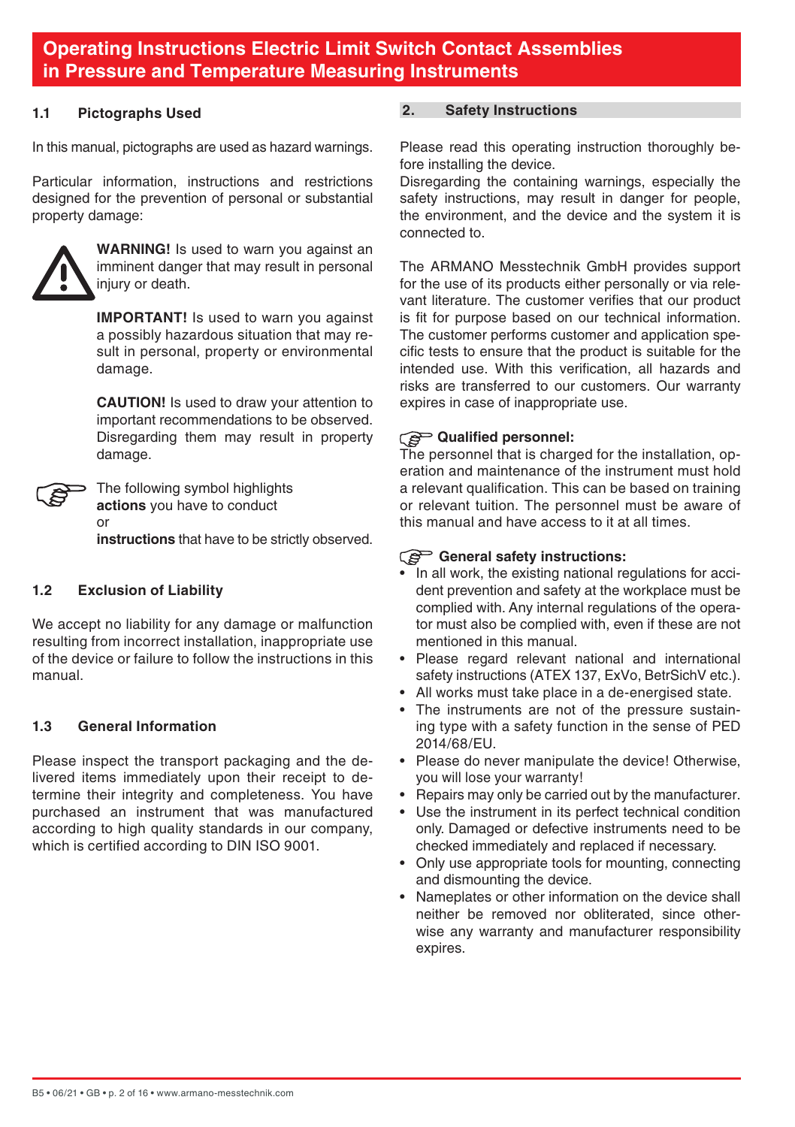#### **1.1 Pictographs Used**

In this manual, pictographs are used as hazard warnings.

Particular information, instructions and restrictions designed for the prevention of personal or substantial property damage:



**WARNING!** Is used to warn you against an imminent danger that may result in personal injury or death.

**IMPORTANT!** Is used to warn you against a possibly hazardous situation that may result in personal, property or environmental damage.

 **CAUTION!** Is used to draw your attention to important recommendations to be observed. Disregarding them may result in property damage.



The following symbol highlights **actions** you have to conduct or **instructions** that have to be strictly observed.

**1.2 Exclusion of Liability**

We accept no liability for any damage or malfunction resulting from incorrect installation, inappropriate use of the device or failure to follow the instructions in this manual.

#### **1.3 General Information**

Please inspect the transport packaging and the delivered items immediately upon their receipt to determine their integrity and completeness. You have purchased an instrument that was manufactured according to high quality standards in our company. which is certified according to DIN ISO 9001.

#### **2. Safety Instructions**

Please read this operating instruction thoroughly before installing the device.

Disregarding the containing warnings, especially the safety instructions, may result in danger for people. the environment, and the device and the system it is connected to.

The ARMANO Messtechnik GmbH provides support for the use of its products either personally or via relevant literature. The customer verifies that our product is fit for purpose based on our technical information. The customer performs customer and application specific tests to ensure that the product is suitable for the intended use. With this verification, all hazards and risks are transferred to our customers. Our warranty expires in case of inappropriate use.

#### **Qualified personnel:**

The personnel that is charged for the installation, operation and maintenance of the instrument must hold a relevant qualification. This can be based on training or relevant tuition. The personnel must be aware of this manual and have access to it at all times.

## **General safety instructions:**

- In all work, the existing national regulations for accident prevention and safety at the workplace must be complied with. Any internal regulations of the operator must also be complied with, even if these are not mentioned in this manual.
- Please regard relevant national and international safety instructions (ATEX 137, ExVo, BetrSichV etc.).
- All works must take place in a de-energised state.
- The instruments are not of the pressure sustaining type with a safety function in the sense of PED 2014/68/EU.
- Please do never manipulate the device! Otherwise, you will lose your warranty!
- Repairs may only be carried out by the manufacturer.
- Use the instrument in its perfect technical condition only. Damaged or defective instruments need to be checked immediately and replaced if necessary.
- Only use appropriate tools for mounting, connecting and dismounting the device.
- Nameplates or other information on the device shall neither be removed nor obliterated, since otherwise any warranty and manufacturer responsibility expires.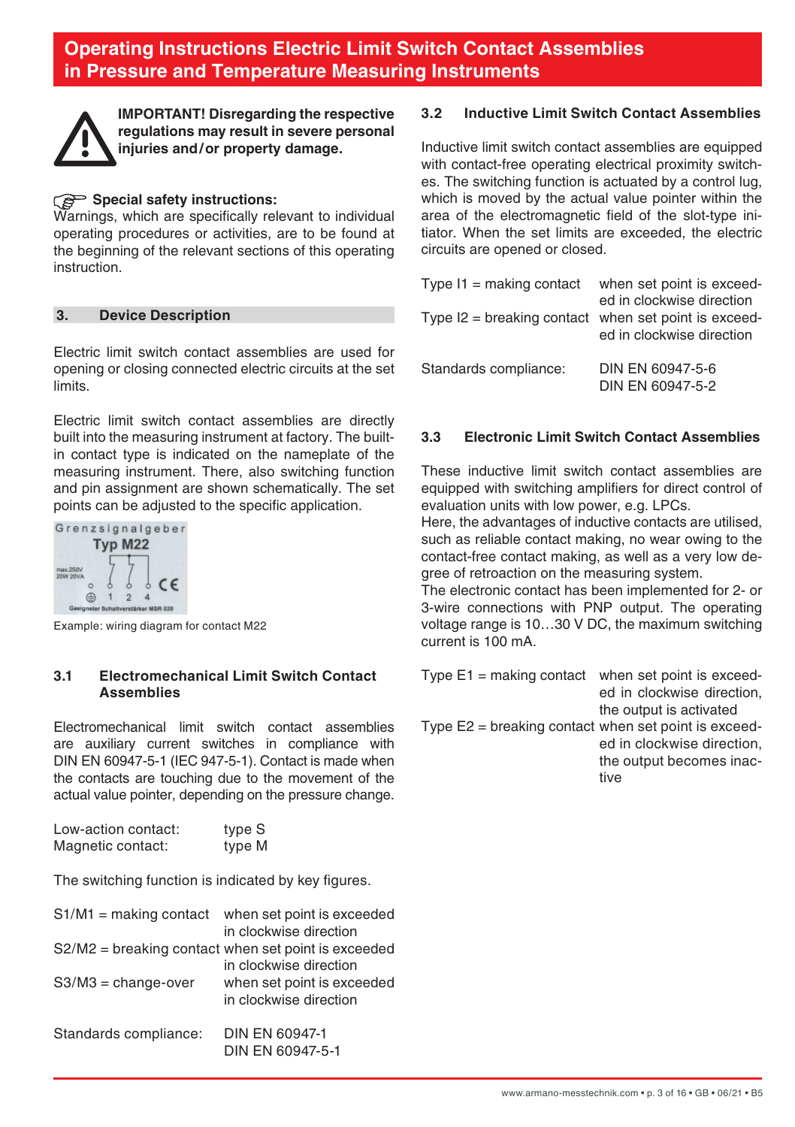

**IMPORTANT! Disregarding the respective regulations may result in severe personal injuries and/or property damage.**

#### **Special safety instructions:**

Warnings, which are specifically relevant to individual operating procedures or activities, are to be found at the beginning of the relevant sections of this operating instruction.

#### **3. Device Description**

Electric limit switch contact assemblies are used for opening or closing connected electric circuits at the set limits.

Electric limit switch contact assemblies are directly built into the measuring instrument at factory. The builtin contact type is indicated on the nameplate of the measuring instrument. There, also switching function and pin assignment are shown schematically. The set points can be adjusted to the specific application.



Example: wiring diagram for contact M22

#### **3.1 Electromechanical Limit Switch Contact Assemblies**

Electromechanical limit switch contact assemblies are auxiliary current switches in compliance with DIN EN 60947-5-1 (IEC 947-5-1). Contact is made when the contacts are touching due to the movement of the actual value pointer, depending on the pressure change.

| Low-action contact: | type S |
|---------------------|--------|
| Magnetic contact:   | type M |

The switching function is indicated by key figures.

| $S1/M1$ = making contact | when set point is exceeded<br>in clockwise direction                            |
|--------------------------|---------------------------------------------------------------------------------|
|                          | $S2/M2$ = breaking contact when set point is exceeded<br>in clockwise direction |
| $S3/M3 = change-over$    | when set point is exceeded<br>in clockwise direction                            |
| Standards compliance:    | DIN EN 60947-1<br>DIN EN 60947-5-1                                              |

#### **3.2 Inductive Limit Switch Contact Assemblies**

Inductive limit switch contact assemblies are equipped with contact-free operating electrical proximity switches. The switching function is actuated by a control lug, which is moved by the actual value pointer within the area of the electromagnetic field of the slot-type initiator. When the set limits are exceeded, the electric circuits are opened or closed.

| Type $11 = \text{making contact}$ | when set point is exceed-<br>ed in clockwise direction |
|-----------------------------------|--------------------------------------------------------|
| Type $12 =$ breaking contact      | when set point is exceed-<br>ed in clockwise direction |
| Standards compliance:             | DIN EN 60947-5-6<br>DIN EN 60947-5-2                   |

#### **3.3 Electronic Limit Switch Contact Assemblies**

These inductive limit switch contact assemblies are equipped with switching amplifiers for direct control of evaluation units with low power, e.g. LPCs.

Here, the advantages of inductive contacts are utilised, such as reliable contact making, no wear owing to the contact-free contact making, as well as a very low degree of retroaction on the measuring system.

The electronic contact has been implemented for 2- or 3-wire connections with PNP output. The operating voltage range is 10…30 V DC, the maximum switching current is 100 mA.

| Type $E1 = \text{making contact}$                      | when set point is exceed-  |
|--------------------------------------------------------|----------------------------|
|                                                        | ed in clockwise direction, |
|                                                        | the output is activated    |
| Type $E2$ = breaking contact when set point is exceed- |                            |
|                                                        | ed in clockwise direction, |
|                                                        | the output becomes inac-   |
|                                                        | tive                       |
|                                                        |                            |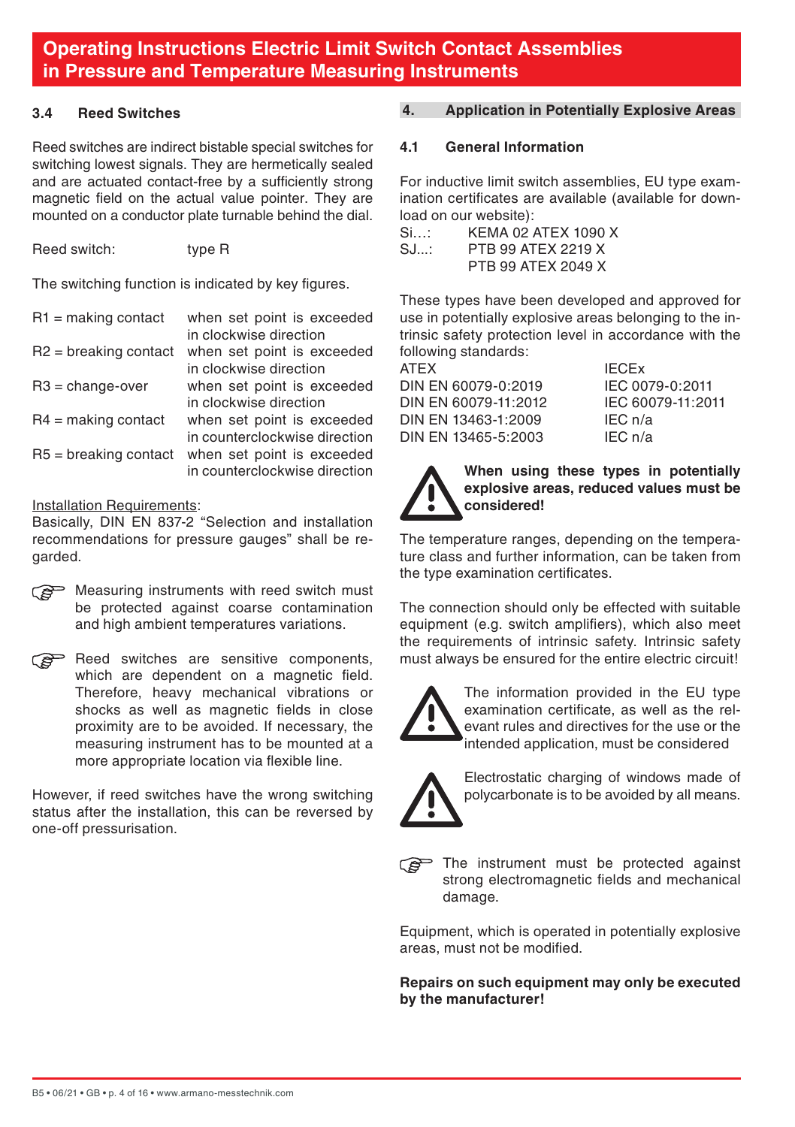#### **3.4 Reed Switches**

Reed switches are indirect bistable special switches for switching lowest signals. They are hermetically sealed and are actuated contact-free by a sufficiently strong magnetic field on the actual value pointer. They are mounted on a conductor plate turnable behind the dial.

Reed switch: type R

The switching function is indicated by key figures.

| $R1$ = making contact        | when set point is exceeded<br>in clockwise direction        |
|------------------------------|-------------------------------------------------------------|
| $R2$ = breaking contact      | when set point is exceeded<br>in clockwise direction        |
| $R3 = change-over$           | when set point is exceeded<br>in clockwise direction        |
| $R4 = \text{making contact}$ | when set point is exceeded<br>in counterclockwise direction |
| $R5$ = breaking contact      | when set point is exceeded<br>in counterclockwise direction |

#### Installation Requirements:

Basically, DIN EN 837-2 "Selection and installation recommendations for pressure gauges" shall be regarded.

- Measuring instruments with reed switch must be protected against coarse contamination and high ambient temperatures variations.
- Reed switches are sensitive components. which are dependent on a magnetic field. Therefore, heavy mechanical vibrations or shocks as well as magnetic fields in close proximity are to be avoided. If necessary, the measuring instrument has to be mounted at a more appropriate location via flexible line.

However, if reed switches have the wrong switching status after the installation, this can be reversed by one-off pressurisation.

#### **4. Application in Potentially Explosive Areas**

#### **4.1 General Information**

For inductive limit switch assemblies, EU type examination certificates are available (available for download on our website):

| Si…: | KEMA 02 ATEX 1090 X |
|------|---------------------|
| SJ:  | PTB 99 ATEX 2219 X  |
|      | PTB 99 ATEX 2049 X  |

These types have been developed and approved for use in potentially explosive areas belonging to the intrinsic safety protection level in accordance with the following standards:

| ATEX |                      |
|------|----------------------|
|      | DIN EN 60079-0:2019  |
|      | DIN EN 60079-11:2012 |
|      | DIN EN 13463-1:2009  |
|      | DIN EN 13465-5:2003  |

ATEX IECEx DIN EN 60079-0:2019 IEC 0079-0:2011 DIN EN 60079-11:2012 IEC 60079-11:2011  $IFC n/a$  $IFC<sub>i</sub> n/a$ 



**When using these types in potentially explosive areas, reduced values must be considered!**

The temperature ranges, depending on the temperature class and further information, can be taken from the type examination certificates.

The connection should only be effected with suitable equipment (e.g. switch amplifiers), which also meet the requirements of intrinsic safety. Intrinsic safety must always be ensured for the entire electric circuit!



The information provided in the EU type examination certificate, as well as the relevant rules and directives for the use or the intended application, must be considered



Electrostatic charging of windows made of polycarbonate is to be avoided by all means.

The instrument must be protected against strong electromagnetic fields and mechanical damage.

Equipment, which is operated in potentially explosive areas, must not be modified.

**Repairs on such equipment may only be executed by the manufacturer!**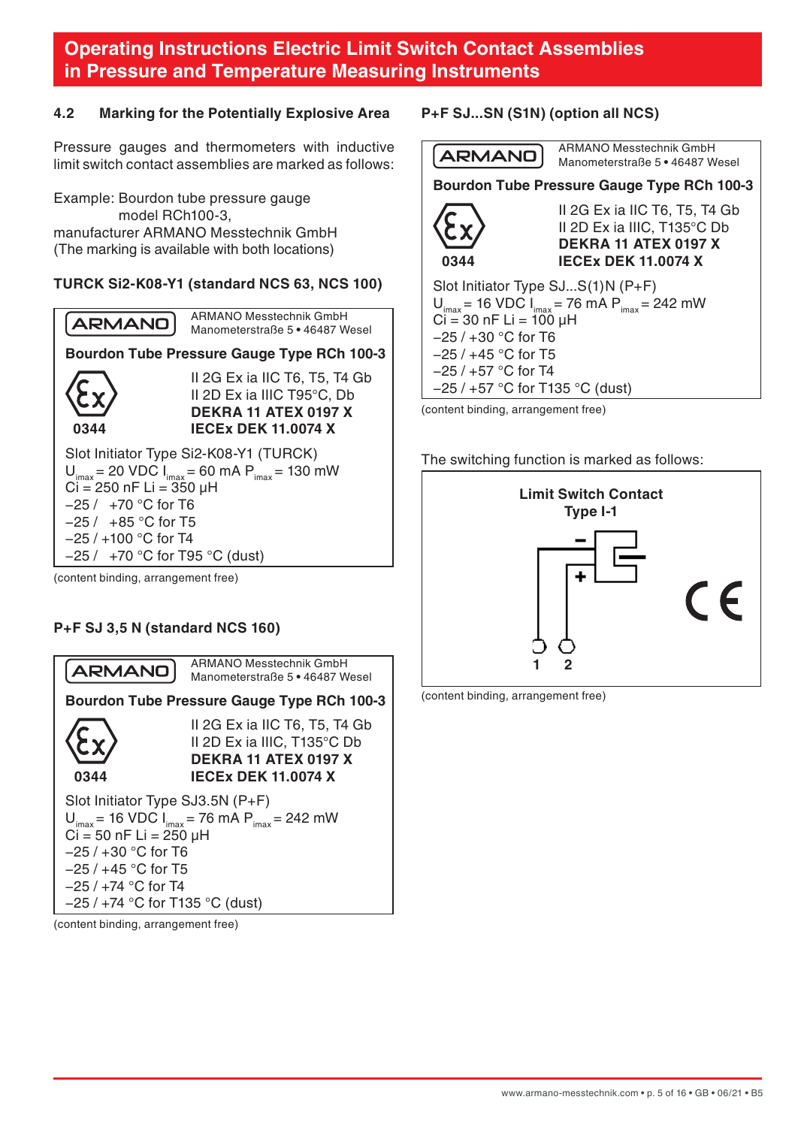#### **4.2 Marking for the Potentially Explosive Area**

Pressure gauges and thermometers with inductive limit switch contact assemblies are marked as follows:

Example: Bourdon tube pressure gauge model RCh100-3, manufacturer ARMANO Messtechnik GmbH (The marking is available with both locations)

#### **TURCK Si2-K08-Y1 (standard NCS 63, NCS 100)**

ARMANO Messtechnik GmbH **ARMANO** Manometerstraße 5 • 46487 Wesel

#### **Bourdon Tube Pressure Gauge Type RCh 100-3**



 II 2G Ex ia IIC T6, T5, T4 Gb II 2D Ex ia IIIC T95°C, Db **DEKRA 11 ATEX 0197 X 0344 IECEx DEK 11.0074 X**

Slot Initiator Type Si2-K08-Y1 (TURCK)  $U_{\text{max}} = 20 \text{ VDC } I_{\text{max}} = 60 \text{ mA } P_{\text{max}} = 130 \text{ mW}$  $C_{\text{imax}}$  = 250 nF Li = 350 uH −25 / +70 °C for T6 −25 / +85 °C for T5 −25 / +100 °C for T4 −25 / +70 °C for T95 °C (dust)

(content binding, arrangement free)

#### **P+F SJ 3,5 N (standard NCS 160)**



(content binding, arrangement free)

#### **P+F SJ...SN (S1N) (option all NCS)**



(content binding, arrangement free)

The switching function is marked as follows:



(content binding, arrangement free)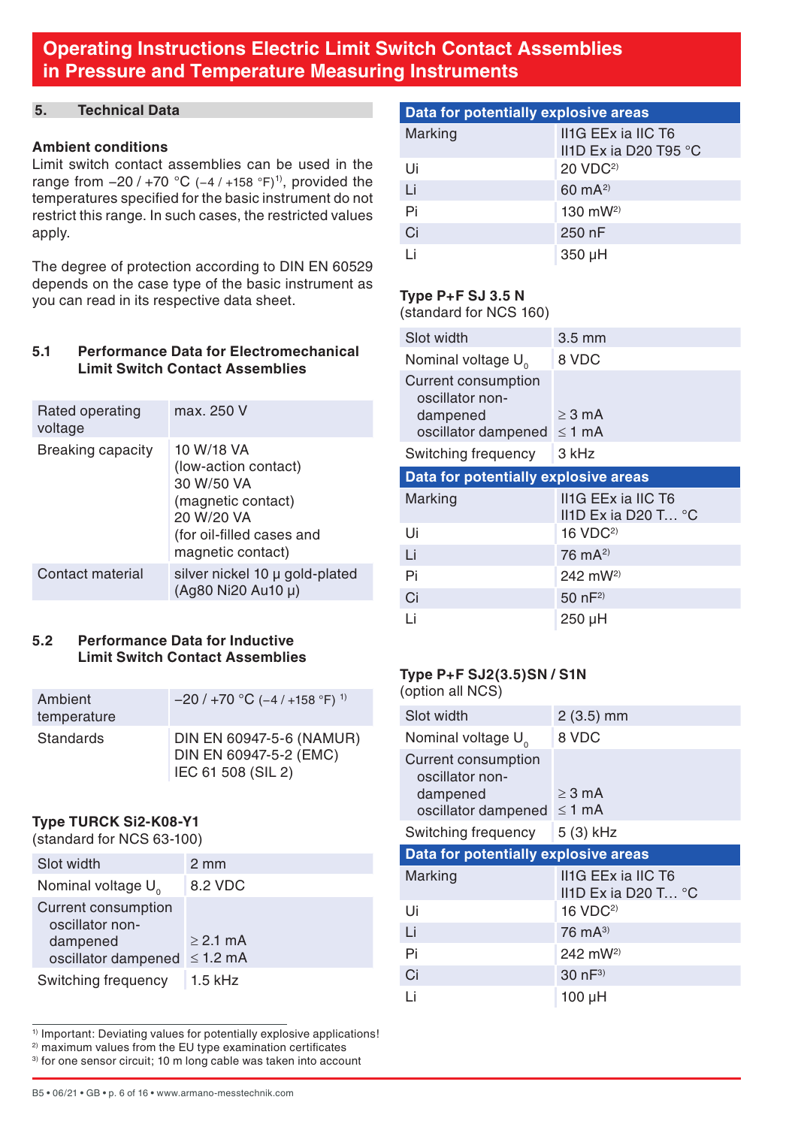#### **5. Technical Data**

#### **Ambient conditions**

Limit switch contact assemblies can be used in the range from  $-20/+70$  °C (-4/+158 °F)<sup>1)</sup>, provided the temperatures specified for the basic instrument do not restrict this range. In such cases, the restricted values apply.

The degree of protection according to DIN EN 60529 depends on the case type of the basic instrument as you can read in its respective data sheet.

#### **5.1 Performance Data for Electromechanical Limit Switch Contact Assemblies**

| Rated operating<br>voltage | max. 250 V                                                                                                                             |
|----------------------------|----------------------------------------------------------------------------------------------------------------------------------------|
| Breaking capacity          | 10 W/18 VA<br>(low-action contact)<br>30 W/50 VA<br>(magnetic contact)<br>20 W/20 VA<br>(for oil-filled cases and<br>magnetic contact) |
| Contact material           | silver nickel 10 µ gold-plated<br>(Ag80 Ni20 Au10 µ)                                                                                   |

#### **5.2 Performance Data for Inductive Limit Switch Contact Assemblies**

| Ambient<br>temperature | $-20/+70$ °C (-4/+158 °F) <sup>1)</sup>                                  |
|------------------------|--------------------------------------------------------------------------|
| Standards              | DIN EN 60947-5-6 (NAMUR)<br>DIN EN 60947-5-2 (EMC)<br>IEC 61 508 (SIL 2) |

#### **Type TURCK Si2-K08-Y1**

(standard for NCS 63-100)

| 2 mm                               |
|------------------------------------|
| 8.2 VDC                            |
| $>2.1 \text{ mA}$<br>$\leq$ 1.2 mA |
| $1.5$ kHz                          |
|                                    |

1) Important: Deviating values for potentially explosive applications!

2) maximum values from the EU type examination certificates

<sup>3)</sup> for one sensor circuit; 10 m long cable was taken into account

| Data for potentially explosive areas |                                                       |
|--------------------------------------|-------------------------------------------------------|
| Marking                              | II1G EEx ia IIC T6<br>II1D Ex ia D20 T95 $^{\circ}$ C |
| Ui                                   | 20 VDC <sup>2</sup>                                   |
| Τi                                   | $60 \text{ mA}^{2}$                                   |
| Pi                                   | 130 $mW^{2}$                                          |
| Ci                                   | 250 nF                                                |
| Ιi                                   | 350 µH                                                |

#### **Type P+F SJ 3.5 N**

(standard for NCS 160)

| Slot width                                                                | $3.5 \text{ mm}$                                    |  |  |
|---------------------------------------------------------------------------|-----------------------------------------------------|--|--|
| Nominal voltage U <sub>o</sub>                                            | 8 VDC                                               |  |  |
| Current consumption<br>oscillator non-<br>dampened<br>oscillator dampened | $>$ 3 mA<br>$<$ 1 mA                                |  |  |
| Switching frequency                                                       | 3 kHz                                               |  |  |
| Data for potentially explosive areas                                      |                                                     |  |  |
|                                                                           |                                                     |  |  |
| Marking                                                                   | II1G EEx ia IIC T6<br>II1D Ex ia D20 T $^{\circ}$ C |  |  |
| Ui                                                                        | $16 \text{ VDC}^{2}$                                |  |  |
| Li                                                                        | 76 m $A^{2}$                                        |  |  |
| Pi                                                                        | 242 mW <sup>2)</sup>                                |  |  |
| Ci                                                                        | 50 $nF^{2}$                                         |  |  |

#### **Type P+F SJ2(3.5)SN / S1N**  $($ option all  $NCS$

| $\overline{O}$ lubulu ali $\overline{O}$                                              |                                                     |  |  |
|---------------------------------------------------------------------------------------|-----------------------------------------------------|--|--|
| Slot width                                                                            | $2(3.5)$ mm                                         |  |  |
| Nominal voltage U <sub>o</sub>                                                        | 8 VDC                                               |  |  |
| Current consumption<br>oscillator non-<br>dampened<br>oscillator dampened $\leq 1$ mA | $> 3 \text{ mA}$                                    |  |  |
| Switching frequency                                                                   | 5 (3) kHz                                           |  |  |
| Data for potentially explosive areas                                                  |                                                     |  |  |
|                                                                                       |                                                     |  |  |
| Marking                                                                               | II1G EEx ia IIC T6<br>II1D Ex ia D20 T $^{\circ}$ C |  |  |
| Ui                                                                                    | $16 \text{ VDC}^{2}$                                |  |  |
| Ιi                                                                                    | 76 $mA^{3}$                                         |  |  |
| Pi                                                                                    | 242 mW <sup>2)</sup>                                |  |  |
| Ci                                                                                    | $30 nF^{3}$                                         |  |  |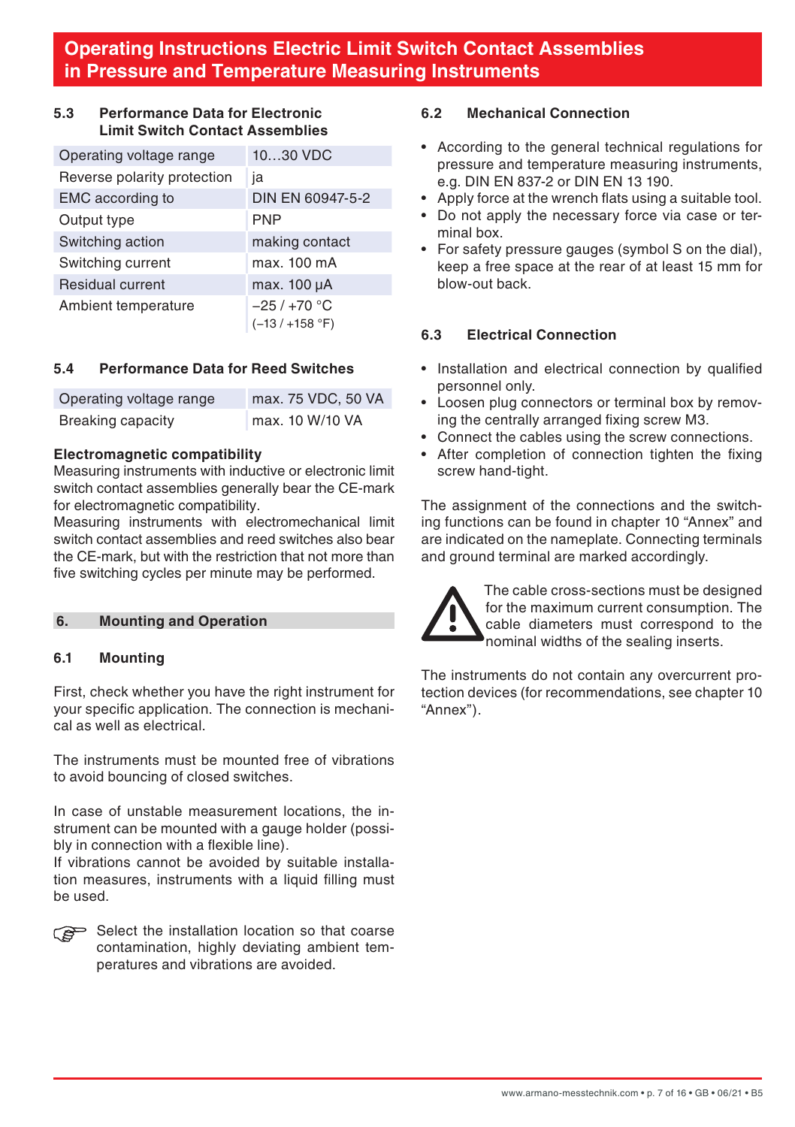#### **5.3 Performance Data for Electronic Limit Switch Contact Assemblies**

| Operating voltage range     | 1030 VDC                          |
|-----------------------------|-----------------------------------|
| Reverse polarity protection | ia                                |
| <b>EMC</b> according to     | DIN EN 60947-5-2                  |
| Output type                 | <b>PNP</b>                        |
| Switching action            | making contact                    |
| Switching current           | max. 100 mA                       |
| <b>Residual current</b>     | max. 100 µA                       |
| Ambient temperature         | $-25/+70 °C$<br>$(-13 / +158 °F)$ |

#### **5.4 Performance Data for Reed Switches**

| Operating voltage range | max. 75 VDC, 50 VA |
|-------------------------|--------------------|
| Breaking capacity       | max. 10 W/10 VA    |

#### **Electromagnetic compatibility**

Measuring instruments with inductive or electronic limit switch contact assemblies generally bear the CE-mark for electromagnetic compatibility.

Measuring instruments with electromechanical limit switch contact assemblies and reed switches also bear the CE-mark, but with the restriction that not more than five switching cycles per minute may be performed.

### **6. Mounting and Operation**

#### **6.1 Mounting**

First, check whether you have the right instrument for your specific application. The connection is mechanical as well as electrical.

The instruments must be mounted free of vibrations to avoid bouncing of closed switches.

In case of unstable measurement locations, the instrument can be mounted with a gauge holder (possibly in connection with a flexible line).

If vibrations cannot be avoided by suitable installation measures, instruments with a liquid filling must be used.



#### **6.2 Mechanical Connection**

- According to the general technical regulations for pressure and temperature measuring instruments, e.g. DIN EN 837-2 or DIN EN 13 190.
- Apply force at the wrench flats using a suitable tool.
- Do not apply the necessary force via case or terminal box.
- For safety pressure gauges (symbol S on the dial), keep a free space at the rear of at least 15 mm for blow-out back.

#### **6.3 Electrical Connection**

- Installation and electrical connection by qualified personnel only.
- Loosen plug connectors or terminal box by removing the centrally arranged fixing screw M3.
- Connect the cables using the screw connections.
- After completion of connection tighten the fixing screw hand-tight.

The assignment of the connections and the switching functions can be found in chapter 10 "Annex" and are indicated on the nameplate. Connecting terminals and ground terminal are marked accordingly.



The cable cross-sections must be designed for the maximum current consumption. The cable diameters must correspond to the nominal widths of the sealing inserts.

The instruments do not contain any overcurrent protection devices (for recommendations, see chapter 10 "Annex").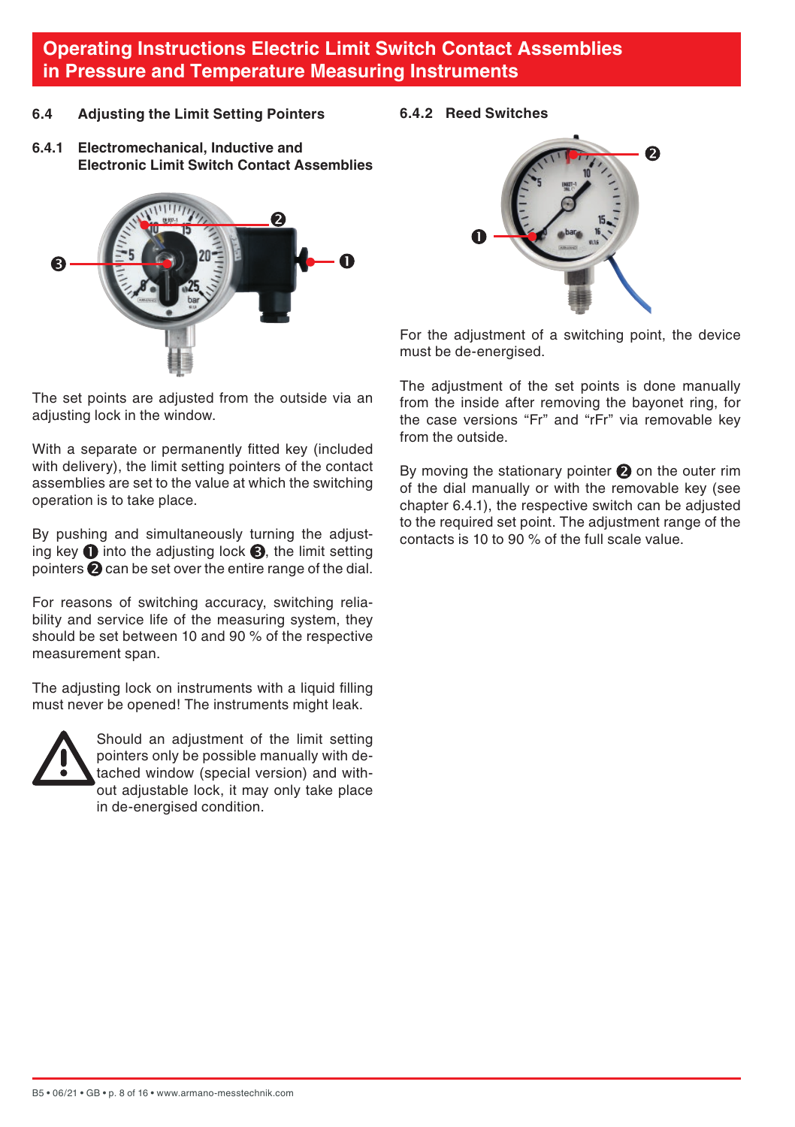- **6.4 Adjusting the Limit Setting Pointers**
- **6.4.1 Electromechanical, Inductive and Electronic Limit Switch Contact Assemblies**



**6.4.2 Reed Switches**



For the adjustment of a switching point, the device must be de-energised.

The adjustment of the set points is done manually from the inside after removing the bayonet ring, for the case versions "Fr" and "rFr" via removable key from the outside.

By moving the stationary pointer  $\bullet$  on the outer rim of the dial manually or with the removable key (see chapter 6.4.1), the respective switch can be adjusted to the required set point. The adjustment range of the contacts is 10 to 90 % of the full scale value.

The set points are adjusted from the outside via an adjusting lock in the window.

With a separate or permanently fitted key (included with delivery), the limit setting pointers of the contact assemblies are set to the value at which the switching operation is to take place.

By pushing and simultaneously turning the adjusting key  $\bullet$  into the adjusting lock  $\bullet$ , the limit setting pointers  $\bigcirc$  can be set over the entire range of the dial.

For reasons of switching accuracy, switching reliability and service life of the measuring system, they should be set between 10 and 90 % of the respective measurement span.

The adjusting lock on instruments with a liquid filling must never be opened! The instruments might leak.



Should an adjustment of the limit setting pointers only be possible manually with detached window (special version) and without adjustable lock, it may only take place in de-energised condition.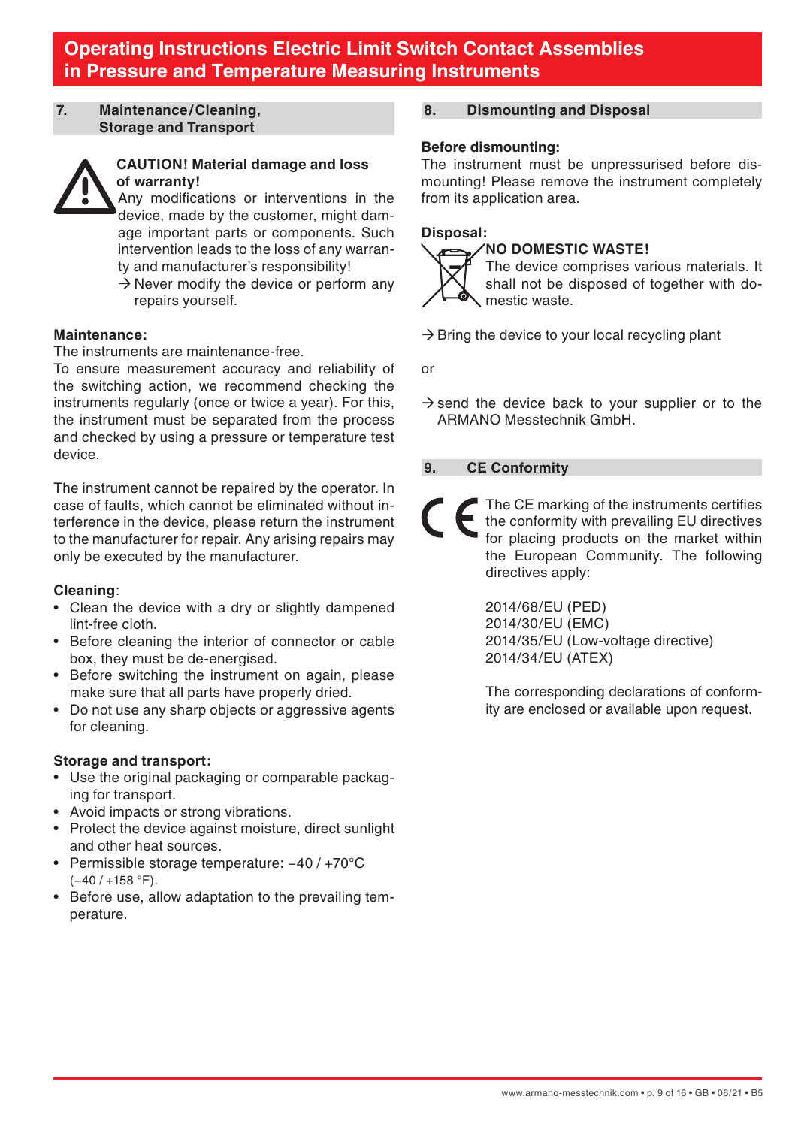**7. Maintenance/Cleaning, Storage and Transport**



#### **CAUTION! Material damage and loss of warranty!**

 Any modifications or interventions in the device, made by the customer, might damage important parts or components. Such intervention leads to the loss of any warranty and manufacturer's responsibility!

 $\rightarrow$  Never modify the device or perform any repairs yourself.

#### **Maintenance:**

The instruments are maintenance-free.

To ensure measurement accuracy and reliability of the switching action, we recommend checking the instruments regularly (once or twice a year). For this, the instrument must be separated from the process and checked by using a pressure or temperature test device.

The instrument cannot be repaired by the operator. In case of faults, which cannot be eliminated without interference in the device, please return the instrument to the manufacturer for repair. Any arising repairs may only be executed by the manufacturer.

#### **Cleaning**:

- Clean the device with a dry or slightly dampened lint-free cloth.
- Before cleaning the interior of connector or cable box, they must be de-energised.
- Before switching the instrument on again, please make sure that all parts have properly dried.
- Do not use any sharp objects or aggressive agents for cleaning.

#### **Storage and transport:**

- Use the original packaging or comparable packaging for transport.
- Avoid impacts or strong vibrations.
- Protect the device against moisture, direct sunlight and other heat sources.
- Permissible storage temperature: −40 / +70°C (−40 / +158 °F).
- Before use, allow adaptation to the prevailing temperature.

#### **8. Dismounting and Disposal**

#### **Before dismounting:**

The instrument must be unpressurised before dismounting! Please remove the instrument completely from its application area.

#### **Disposal:**

#### **NO DOMESTIC WASTE!**



 The device comprises various materials. It shall not be disposed of together with domestic waste.

 $\rightarrow$  Bring the device to your local recycling plant

or

 $\rightarrow$  send the device back to your supplier or to the ARMANO Messtechnik GmbH.

#### **9. CE Conformity**

The CE marking of the instruments certifies the conformity with prevailing EU directives for placing products on the market within the European Community. The following directives apply:

> 2014/68/EU (PED) 2014/30/EU (EMC) 2014/35/EU (Low-voltage directive) 2014/34/EU (ATEX)

 The corresponding declarations of conformity are enclosed or available upon request.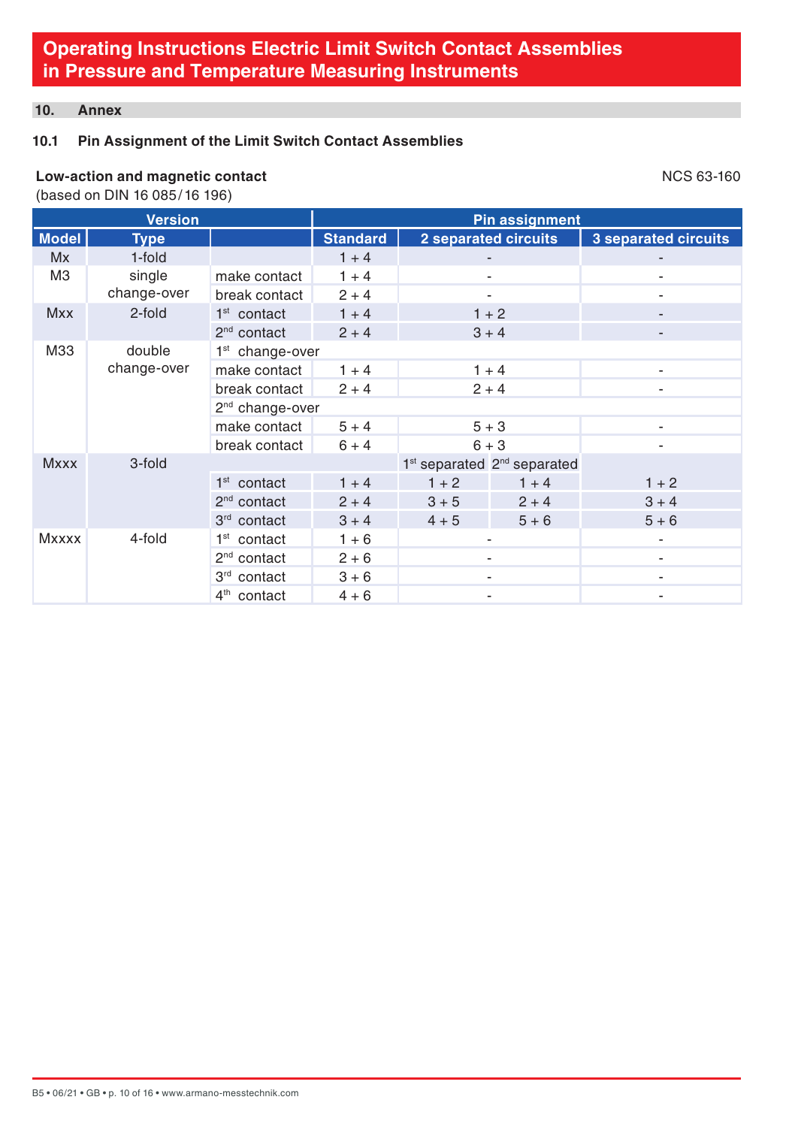#### **10. Annex**

## **10.1 Pin Assignment of the Limit Switch Contact Assemblies**

### **Low-action and magnetic contact**  $NCS 63-160$

(based on DIN 16 085/16 196)

|              | <b>Version</b> |                             | <b>Pin assignment</b> |         |                                                     |                             |
|--------------|----------------|-----------------------------|-----------------------|---------|-----------------------------------------------------|-----------------------------|
| <b>Model</b> | <b>Type</b>    |                             | <b>Standard</b>       |         | 2 separated circuits                                | <b>3 separated circuits</b> |
| <b>Mx</b>    | 1-fold         |                             | $1 + 4$               |         |                                                     |                             |
| M3           | single         | make contact                | $1 + 4$               |         |                                                     |                             |
|              | change-over    | break contact               | $2 + 4$               |         | $\overline{\phantom{0}}$                            |                             |
| <b>Mxx</b>   | 2-fold         | $1st$ contact               | $1 + 4$               |         | $1 + 2$                                             |                             |
|              |                | $2nd$ contact               | $2 + 4$               |         | $3 + 4$                                             | $\overline{\phantom{a}}$    |
| M33          | double         | 1 <sup>st</sup> change-over |                       |         |                                                     |                             |
|              | change-over    | make contact                | $1 + 4$               |         | $1 + 4$                                             |                             |
|              | break contact  | $2 + 4$<br>$2 + 4$          |                       |         |                                                     |                             |
|              |                | 2 <sup>nd</sup> change-over |                       |         |                                                     |                             |
|              |                | make contact                | $5 + 4$               |         | $5 + 3$                                             |                             |
|              |                | break contact               | $6 + 4$               |         | $6 + 3$                                             |                             |
| <b>Mxxx</b>  | 3-fold         |                             |                       |         | 1 <sup>st</sup> separated 2 <sup>nd</sup> separated |                             |
|              |                | $1st$ contact               | $1 + 4$               | $1 + 2$ | $1 + 4$                                             | $1 + 2$                     |
|              |                | $2nd$ contact               | $2 + 4$               | $3 + 5$ | $2 + 4$                                             | $3 + 4$                     |
|              |                | 3rd contact                 | $3 + 4$               | $4 + 5$ | $5 + 6$                                             | $5 + 6$                     |
| <b>Mxxxx</b> | 4-fold         | $1st$ contact               | $1 + 6$               |         |                                                     | ٠                           |
|              |                | 2 <sup>nd</sup> contact     | $2 + 6$               |         | $\overline{\phantom{0}}$                            | ٠                           |
|              |                | 3 <sup>rd</sup> contact     | $3 + 6$               |         |                                                     |                             |
|              |                | 4 <sup>th</sup> contact     | $4 + 6$               |         |                                                     |                             |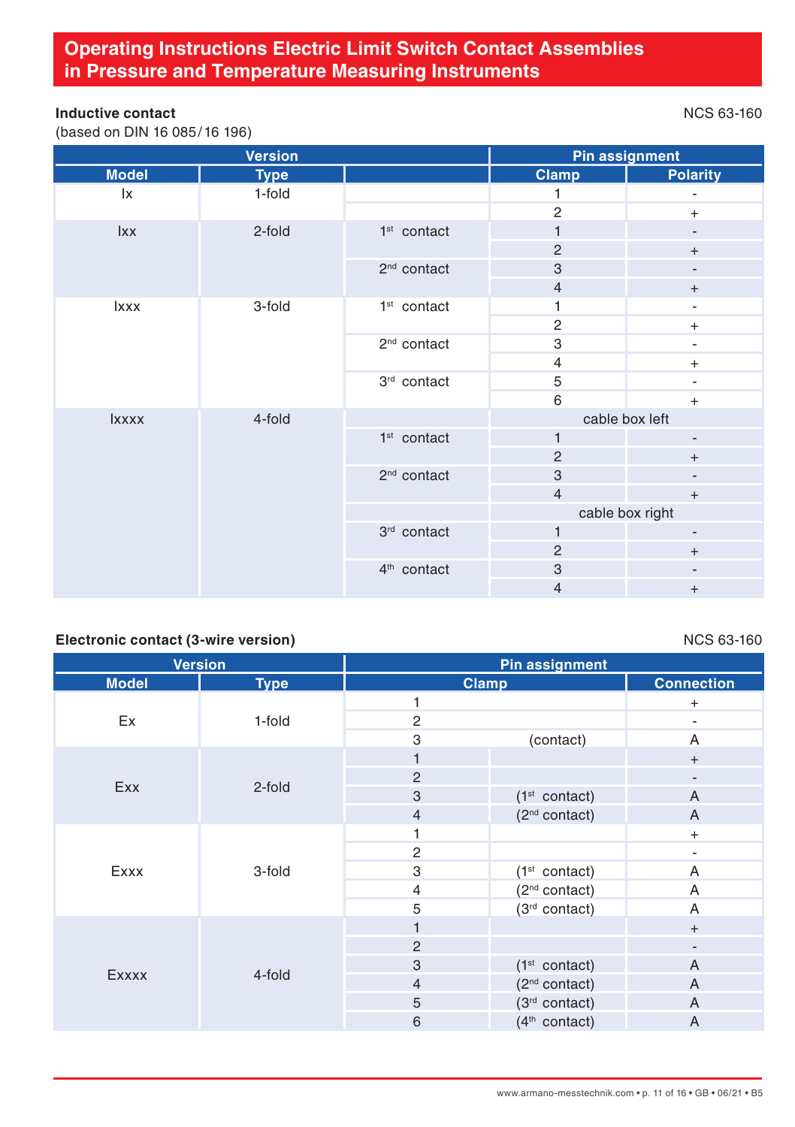## **Inductive contact** NCS 63-160

(based on DIN 16 085/16 196)

| <b>Version</b> |             |                         | <b>Pin assignment</b> |                                  |  |
|----------------|-------------|-------------------------|-----------------------|----------------------------------|--|
| <b>Model</b>   | <b>Type</b> |                         | <b>Clamp</b>          | <b>Polarity</b>                  |  |
| lx             | 1-fold      |                         | 1                     | $\overline{\phantom{a}}$         |  |
|                |             |                         | $\overline{c}$        | $\ddot{}$                        |  |
| <b>Ixx</b>     | 2-fold      | $1st$ contact           | 1                     | $\overline{\phantom{a}}$         |  |
|                |             |                         | $\overline{2}$        | $\qquad \qquad +$                |  |
|                |             | 2 <sup>nd</sup> contact | 3                     | $\overline{\phantom{a}}$         |  |
|                |             |                         | $\overline{4}$        | $\begin{array}{c} + \end{array}$ |  |
| <b>Ixxx</b>    | 3-fold      | $1st$ contact           | 1                     | ۰                                |  |
|                |             |                         | $\overline{c}$        | $\ddot{}$                        |  |
|                |             | 2 <sup>nd</sup> contact | 3                     | $\overline{\phantom{a}}$         |  |
|                |             |                         | 4                     | $+$                              |  |
|                |             | 3rd contact             | 5                     | $\overline{\phantom{a}}$         |  |
|                |             |                         | 6                     | $+$                              |  |
| <b>Ixxxx</b>   | 4-fold      |                         |                       | cable box left                   |  |
|                |             | $1st$ contact           | 1                     | $\overline{\phantom{a}}$         |  |
|                |             |                         | $\overline{2}$        | $\qquad \qquad +$                |  |
|                |             | 2 <sup>nd</sup> contact | 3                     | $\overline{\phantom{a}}$         |  |
|                |             |                         | $\overline{4}$        | $\qquad \qquad +$                |  |
|                |             |                         | cable box right       |                                  |  |
|                |             | 3rd contact             | $\mathbf{1}$          | $\overline{\phantom{a}}$         |  |
|                |             |                         | $\overline{2}$        | $\qquad \qquad +$                |  |
|                |             | 4 <sup>th</sup> contact | 3                     | $\overline{\phantom{a}}$         |  |
|                |             |                         | $\overline{4}$        | $\qquad \qquad +$                |  |

### **Electronic contact (3-wire version)** NCS 63-160

|              | <b>Version</b> | <b>Pin assignment</b> |                           |                              |
|--------------|----------------|-----------------------|---------------------------|------------------------------|
| <b>Model</b> | <b>Type</b>    |                       | <b>Clamp</b>              | <b>Connection</b>            |
|              |                |                       |                           | $\ddot{}$                    |
| Ex           | 1-fold         | $\overline{c}$        |                           | $\overline{\phantom{a}}$     |
|              |                | 3                     | (contact)                 | A                            |
|              |                |                       |                           | $+$                          |
| Exx          |                | $\overline{2}$        |                           | $\overline{\phantom{a}}$     |
|              | 2-fold         | 3                     | (1 <sup>st</sup> contact) | A                            |
|              |                | 4                     | (2 <sup>nd</sup> contact) | A                            |
|              | 3-fold         | 1                     |                           | $^{+}$                       |
| Exxx         |                | $\overline{c}$        |                           | $\qquad \qquad \blacksquare$ |
|              |                | 3                     | $(1st$ contact)           | Α                            |
|              |                | 4                     | (2 <sup>nd</sup> contact) | A                            |
|              |                | 5                     | (3 <sup>rd</sup> contact) | Α                            |
|              |                | 1                     |                           | $+$                          |
| Exxxx        |                | $\overline{2}$        |                           | $\overline{\phantom{a}}$     |
|              |                | 3                     | (1 <sup>st</sup> contact) | A                            |
|              | 4-fold         | $\overline{4}$        | (2 <sup>nd</sup> contact) | A                            |
|              |                | 5                     | (3 <sup>rd</sup> contact) | A                            |
|              |                | 6                     | $(4th$ contact)           | A                            |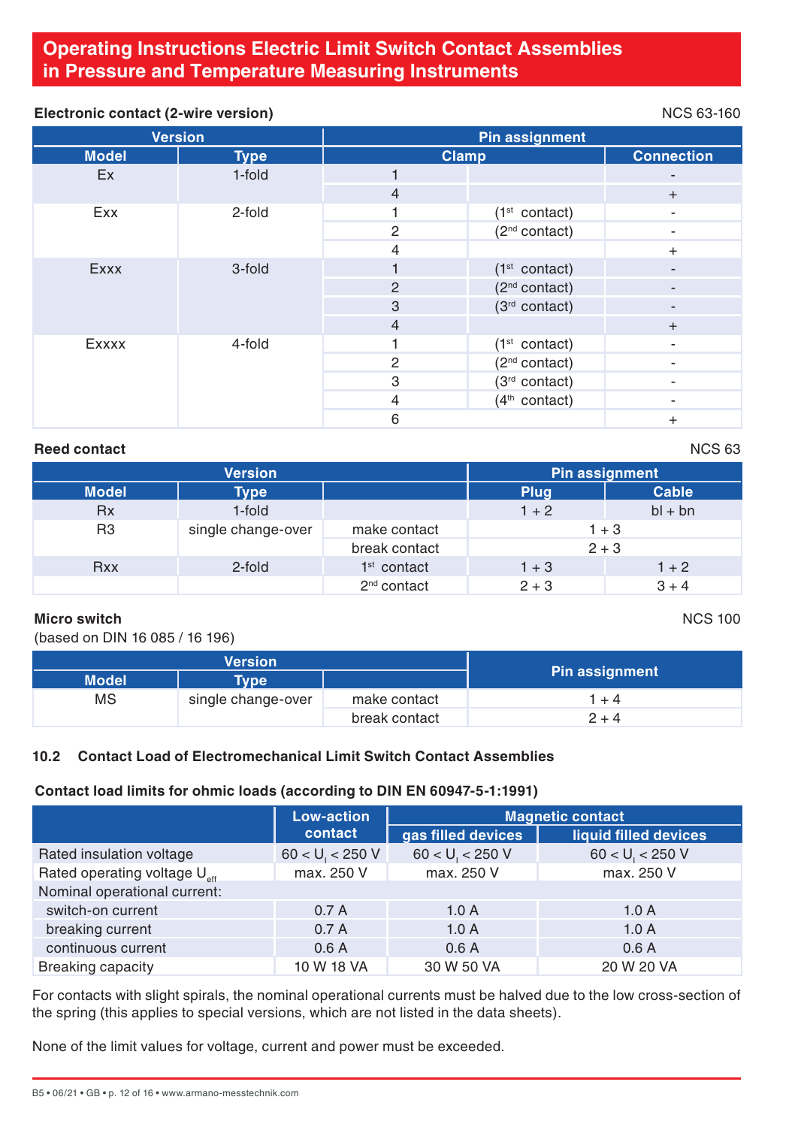#### **Electronic contact (2-wire version)** NCS 63-160

|              | <b>Version</b> | <b>Pin assignment</b> |                           |                              |
|--------------|----------------|-----------------------|---------------------------|------------------------------|
| <b>Model</b> | <b>Type</b>    | <b>Clamp</b>          |                           | <b>Connection</b>            |
| Ex           | 1-fold         |                       |                           | $\overline{\phantom{a}}$     |
|              |                | $\overline{4}$        |                           | $+$                          |
| Exx          | 2-fold         |                       | $(1st$ contact)           | ۰                            |
|              |                | $\overline{2}$        | (2 <sup>nd</sup> contact) | -                            |
|              |                | 4                     |                           | $+$                          |
| Exxx         | 3-fold         |                       | (1 <sup>st</sup> contact) |                              |
|              |                | $\overline{2}$        | (2 <sup>nd</sup> contact) | $\qquad \qquad \blacksquare$ |
|              |                | 3                     | $(3rd$ contact)           | $\overline{\phantom{a}}$     |
|              |                | $\overline{4}$        |                           | $+$                          |
| Exxxx        | 4-fold         |                       | (1 <sup>st</sup> contact) | ٠                            |
|              |                | $\overline{2}$        | (2 <sup>nd</sup> contact) |                              |
|              |                | 3                     | (3 <sup>rd</sup> contact) | ٠                            |
|              |                | 4                     | (4 <sup>th</sup> contact) | ٠                            |
|              |                | 6                     |                           | $+$                          |

#### **Reed contact** NCS 63

|                | <b>Version</b>     | <b>Pin assignment</b> |                    |           |
|----------------|--------------------|-----------------------|--------------------|-----------|
| <b>Model</b>   | <b>Type</b>        |                       | <b>Plug</b>        | Cable     |
| <b>Rx</b>      | 1-fold             |                       | $1 + 2$            | $bl + bn$ |
| R <sub>3</sub> | single change-over | make contact          | $1 + 3$            |           |
|                | break contact      |                       | $2 + 3$            |           |
| <b>Rxx</b>     | 2-fold             | $1st$ contact         | $1 + 2$<br>$1 + 3$ |           |
|                |                    | $2nd$ contact         | $2 + 3$            | $3 + 4$   |

#### **Micro switch** NCS 100

(based on DIN 16 085 / 16 196)

| Version      |                    |               |                       |  |
|--------------|--------------------|---------------|-----------------------|--|
| <b>Model</b> | <b>Type</b>        |               | <b>Pin assignment</b> |  |
| <b>MS</b>    | single change-over | make contact  | 1 + 4                 |  |
|              |                    | break contact | $2 + 4$               |  |

#### **10.2 Contact Load of Electromechanical Limit Switch Contact Assemblies**

#### **Contact load limits for ohmic loads (according to DIN EN 60947-5-1:1991)**

|                                          | <b>Low-action</b> | <b>Magnetic contact</b> |                       |  |  |
|------------------------------------------|-------------------|-------------------------|-----------------------|--|--|
|                                          | contact           | gas filled devices      | liquid filled devices |  |  |
| Rated insulation voltage                 | 60 < U < 250 V    | 60 < U < 250 V          | $60 < U$ , < 250 V    |  |  |
| Rated operating voltage U <sub>eff</sub> | max. 250 V        | max. 250 V              | max. 250 V            |  |  |
| Nominal operational current:             |                   |                         |                       |  |  |
| switch-on current                        | 0.7A              | 1.0A                    | 1.0A                  |  |  |
| breaking current                         | 0.7A              | 1.0A                    | 1.0A                  |  |  |
| continuous current                       | 0.6A              | 0.6A                    | 0.6A                  |  |  |
| Breaking capacity                        | 10 W 18 VA        | 30 W 50 VA              | 20 W 20 VA            |  |  |

For contacts with slight spirals, the nominal operational currents must be halved due to the low cross-section of the spring (this applies to special versions, which are not listed in the data sheets).

None of the limit values for voltage, current and power must be exceeded.

B5 • 06/21 • GB • p. 12 of 16 • www.armano-messtechnik.com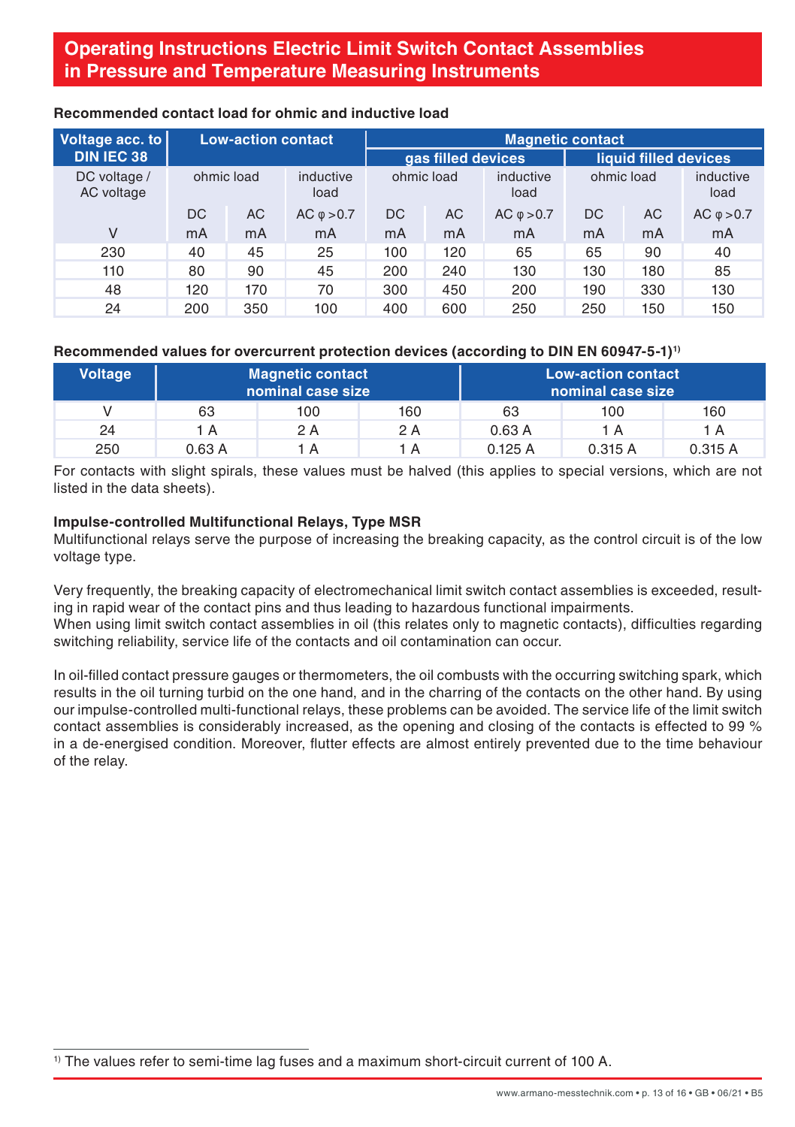| Voltage acc. to            | <b>Low-action contact</b> |            |                   | <b>Magnetic contact</b> |     |                       |            |     |                    |
|----------------------------|---------------------------|------------|-------------------|-------------------------|-----|-----------------------|------------|-----|--------------------|
| <b>DIN IEC 38</b>          | gas filled devices        |            |                   |                         |     | liquid filled devices |            |     |                    |
| DC voltage /<br>AC voltage |                           | ohmic load | inductive<br>load | ohmic load              |     | inductive<br>load     | ohmic load |     | inductive<br>load  |
|                            | DC                        | AC         | AC $\phi > 0.7$   | DC.                     | AC  | AC $\phi > 0.7$       | DC         | AC  | AC $\varphi > 0.7$ |
| V                          | mA                        | mA         | mA                | mA                      | mA  | mA                    | mA         | mA  | mA                 |
| 230                        | 40                        | 45         | 25                | 100                     | 120 | 65                    | 65         | 90  | 40                 |
| 110                        | 80                        | 90         | 45                | 200                     | 240 | 130                   | 130        | 180 | 85                 |
| 48                         | 120                       | 170        | 70                | 300                     | 450 | 200                   | 190        | 330 | 130                |
| 24                         | 200                       | 350        | 100               | 400                     | 600 | 250                   | 250        | 150 | 150                |

#### **Recommended contact load for ohmic and inductive load**

#### **Recommended values for overcurrent protection devices (according to DIN EN 60947-5-1)1)**

| Voltage |       | <b>Magnetic contact</b><br>nominal case size |     | <b>Low-action contact</b><br>nominal case size |        |        |
|---------|-------|----------------------------------------------|-----|------------------------------------------------|--------|--------|
|         | 63    | 100                                          | 160 | 63                                             | 100    | 160    |
| 24      | 1 A   | 2 A                                          | 2 A | 0.63A                                          | 1 A    | 1 A    |
| 250     | 0.63A | 1 A                                          | 1 A | 0.125A                                         | 0.315A | 0.315A |

For contacts with slight spirals, these values must be halved (this applies to special versions, which are not listed in the data sheets).

#### **Impulse-controlled Multifunctional Relays, Type MSR**

Multifunctional relays serve the purpose of increasing the breaking capacity, as the control circuit is of the low voltage type.

Very frequently, the breaking capacity of electromechanical limit switch contact assemblies is exceeded, resulting in rapid wear of the contact pins and thus leading to hazardous functional impairments.

When using limit switch contact assemblies in oil (this relates only to magnetic contacts), difficulties regarding switching reliability, service life of the contacts and oil contamination can occur.

In oil-filled contact pressure gauges or thermometers, the oil combusts with the occurring switching spark, which results in the oil turning turbid on the one hand, and in the charring of the contacts on the other hand. By using our impulse-controlled multi-functional relays, these problems can be avoided. The service life of the limit switch contact assemblies is considerably increased, as the opening and closing of the contacts is effected to 99 % in a de-energised condition. Moreover, flutter effects are almost entirely prevented due to the time behaviour of the relay.

<sup>1)</sup> The values refer to semi-time lag fuses and a maximum short-circuit current of 100 A.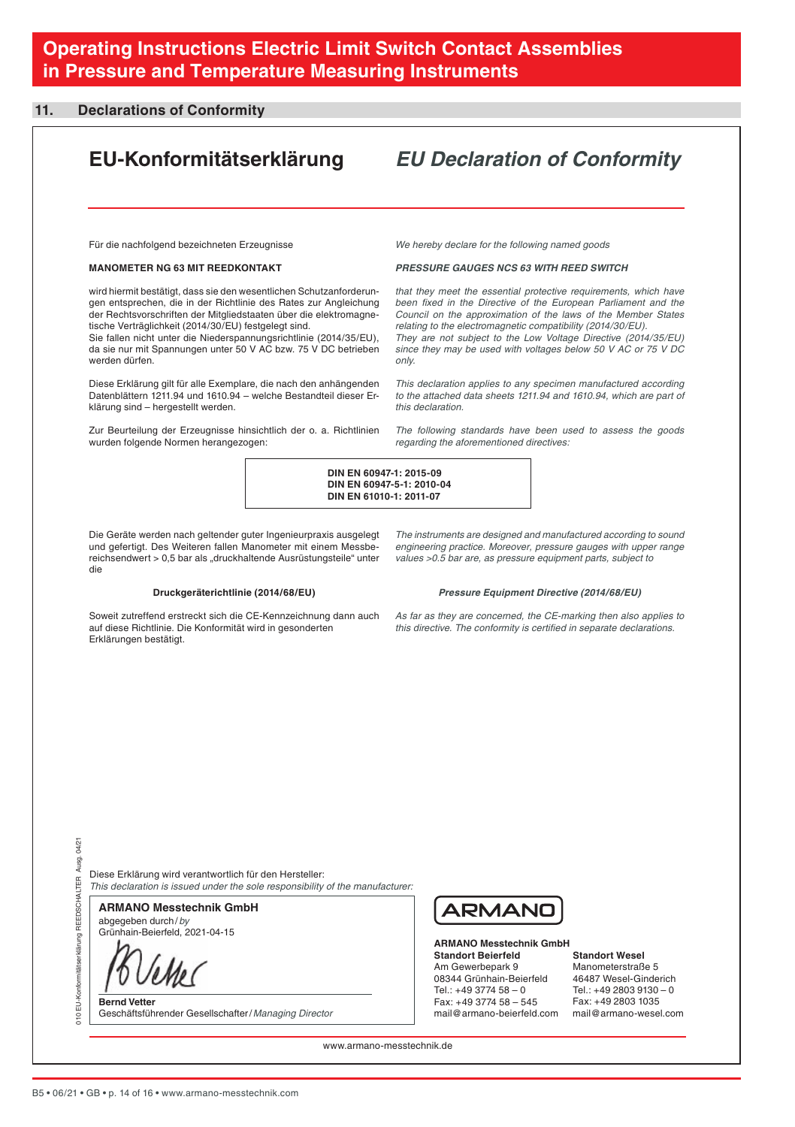#### **11. Declarations of Conformity**

**EU-Konformitätserklärung** *EU Declaration of Conformity*

Für die nachfolgend bezeichneten Erzeugnisse

#### **MANOMETER NG 63 MIT REEDKONTAKT**

wird hiermit bestätigt, dass sie den wesentlichen Schutzanforderungen entsprechen, die in der Richtlinie des Rates zur Angleichung der Rechtsvorschriften der Mitgliedstaaten über die elektromagnetische Verträglichkeit (2014/30/EU) festgelegt sind.

Sie fallen nicht unter die Niederspannungsrichtlinie (2014/35/EU), da sie nur mit Spannungen unter 50 V AC bzw. 75 V DC betrieben werden dürfen.

Diese Erklärung gilt für alle Exemplare, die nach den anhängenden Datenblättern 1211.94 und 1610.94 – welche Bestandteil dieser Erklärung sind – hergestellt werden.

Zur Beurteilung der Erzeugnisse hinsichtlich der o. a. Richtlinien wurden folgende Normen herangezogen:

*We hereby declare for the following named goods*

#### *PRESSURE GAUGES NCS 63 WITH REED SWITCH*

*that they meet the essential protective requirements, which have been fixed in the Directive of the European Parliament and the Council on the approximation of the laws of the Member States relating to the electromagnetic compatibility (2014/30/EU). They are not subject to the Low Voltage Directive (2014/35/EU) since they may be used with voltages below 50 V AC or 75 V DC only.*

*This declaration applies to any specimen manufactured according to the attached data sheets 1211.94 and 1610.94, which are part of this declaration.* 

*The following standards have been used to assess the goods regarding the aforementioned directives:* 

 **DIN EN 60947-1: 2015-09 DIN EN 60947-5-1: 2010-04 DIN EN 61010-1: 2011-07**

Die Geräte werden nach geltender guter Ingenieurpraxis ausgelegt und gefertigt. Des Weiteren fallen Manometer mit einem Messbereichsendwert > 0,5 bar als "druckhaltende Ausrüstungsteile" unter die

#### **Druckgeräterichtlinie (2014/68/EU)**

Soweit zutreffend erstreckt sich die CE-Kennzeichnung dann auch auf diese Richtlinie. Die Konformität wird in gesonderten Erklärungen bestätigt.

*The instruments are designed and manufactured according to sound engineering practice. Moreover, pressure gauges with upper range values >0.5 bar are, as pressure equipment parts, subject to* 

#### *Pressure Equipment Directive (2014/68/EU)*

*As far as they are concerned, the CE-marking then also applies to this directive. The conformity is certified in separate declarations.* 

04/21 010 EU-Konformitätserklärung REEDSCHALTER Ausg. 04/21 Ausg. EDSCHALTER ung REE

-U-Konfo ç Diese Erklärung wird verantwortlich für den Hersteller: *This declaration is issued under the sole responsibility of the manufacturer:*

abgegeben durch/*by* **ARMANO Messtechnik GmbH**

Grünhain-Beierfeld, 2021-04-15

í

**Bernd Vetter** Geschäftsführender Gesellschafter/*Managing Director*



**ARMANO Messtechnik GmbH Standort Beierfeld** Am Gewerbepark 9 08344 Grünhain-Beierfeld Tel.: +49 3774 58 – 0 Fax: +49 3774 58 – 545 mail@armano-beierfeld.com

#### **Standort Wesel**

Manometerstraße 5 46487 Wesel-Ginderich Tel.: +49 2803 9130 – 0 Fax: +49 2803 1035 mail@armano-wesel.com

www.armano-messtechnik.de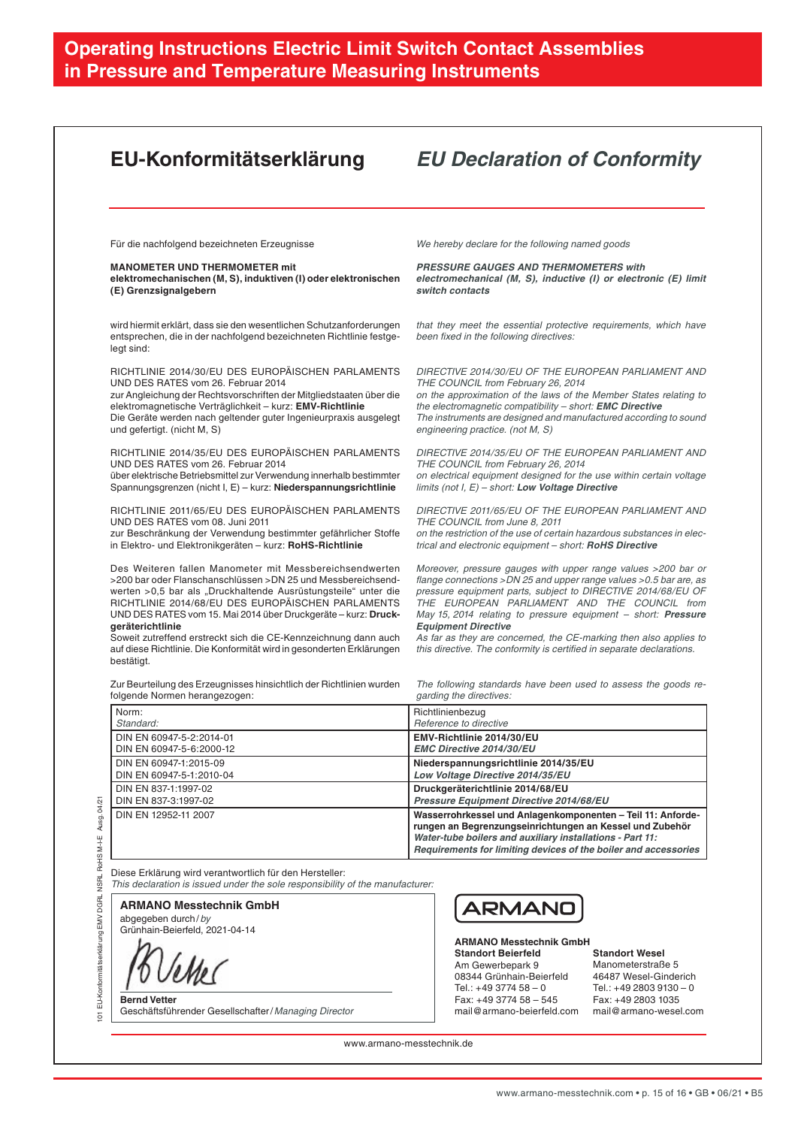| EU-Konformitätserklärung                                                                                                                                                                                                                                                                                                                                                                                                                                                                       | <b>EU Declaration of Conformity</b>                                                                                                                                                                                                                                                                                                                                                                                                                                                               |  |  |  |
|------------------------------------------------------------------------------------------------------------------------------------------------------------------------------------------------------------------------------------------------------------------------------------------------------------------------------------------------------------------------------------------------------------------------------------------------------------------------------------------------|---------------------------------------------------------------------------------------------------------------------------------------------------------------------------------------------------------------------------------------------------------------------------------------------------------------------------------------------------------------------------------------------------------------------------------------------------------------------------------------------------|--|--|--|
| Für die nachfolgend bezeichneten Erzeugnisse                                                                                                                                                                                                                                                                                                                                                                                                                                                   | We hereby declare for the following named goods                                                                                                                                                                                                                                                                                                                                                                                                                                                   |  |  |  |
| <b>MANOMETER UND THERMOMETER mit</b><br>elektromechanischen (M, S), induktiven (I) oder elektronischen<br>(E) Grenzsignalgebern                                                                                                                                                                                                                                                                                                                                                                | <b>PRESSURE GAUGES AND THERMOMETERS with</b><br>electromechanical (M, S), inductive (I) or electronic (E) limit<br>switch contacts                                                                                                                                                                                                                                                                                                                                                                |  |  |  |
| wird hiermit erklärt, dass sie den wesentlichen Schutzanforderungen<br>entsprechen, die in der nachfolgend bezeichneten Richtlinie festge-<br>legt sind:                                                                                                                                                                                                                                                                                                                                       | that they meet the essential protective requirements, which have<br>been fixed in the following directives:                                                                                                                                                                                                                                                                                                                                                                                       |  |  |  |
| RICHTLINIE 2014/30/EU DES EUROPÄISCHEN PARLAMENTS<br>UND DES RATES vom 26. Februar 2014<br>zur Angleichung der Rechtsvorschriften der Mitgliedstaaten über die<br>elektromagnetische Verträglichkeit - kurz: EMV-Richtlinie<br>Die Geräte werden nach geltender guter Ingenieurpraxis ausgelegt<br>und gefertigt. (nicht M, S)                                                                                                                                                                 | DIRECTIVE 2014/30/EU OF THE EUROPEAN PARLIAMENT AND<br>THE COUNCIL from February 26, 2014<br>on the approximation of the laws of the Member States relating to<br>the electromagnetic compatibility - short: EMC Directive<br>The instruments are designed and manufactured according to sound<br>engineering practice. (not M, S)                                                                                                                                                                |  |  |  |
| RICHTLINIE 2014/35/EU DES EUROPÄISCHEN PARLAMENTS<br>UND DES RATES vom 26. Februar 2014<br>über elektrische Betriebsmittel zur Verwendung innerhalb bestimmter<br>Spannungsgrenzen (nicht I, E) - kurz: Niederspannungsrichtlinie                                                                                                                                                                                                                                                              | DIRECTIVE 2014/35/EU OF THE EUROPEAN PARLIAMENT AND<br>THE COUNCIL from February 26, 2014<br>on electrical equipment designed for the use within certain voltage<br>limits (not I, E) - short: Low Voltage Directive                                                                                                                                                                                                                                                                              |  |  |  |
| RICHTLINIE 2011/65/EU DES EUROPÄISCHEN PARLAMENTS<br>UND DES RATES vom 08. Juni 2011<br>zur Beschränkung der Verwendung bestimmter gefährlicher Stoffe<br>in Elektro- und Elektronikgeräten - kurz: RoHS-Richtlinie                                                                                                                                                                                                                                                                            | DIRECTIVE 2011/65/EU OF THE EUROPEAN PARLIAMENT AND<br>THE COUNCIL from June 8, 2011<br>on the restriction of the use of certain hazardous substances in elec-<br>trical and electronic equipment - short: RoHS Directive                                                                                                                                                                                                                                                                         |  |  |  |
| Des Weiteren fallen Manometer mit Messbereichsendwerten<br>>200 bar oder Flanschanschlüssen >DN 25 und Messbereichsend-<br>werten >0,5 bar als "Druckhaltende Ausrüstungsteile" unter die<br>RICHTLINIE 2014/68/EU DES EUROPÄISCHEN PARLAMENTS<br>UND DES RATES vom 15. Mai 2014 über Druckgeräte - kurz: Druck-<br>geräterichtlinie<br>Soweit zutreffend erstreckt sich die CE-Kennzeichnung dann auch<br>auf diese Richtlinie. Die Konformität wird in gesonderten Erklärungen<br>bestätigt. | Moreover, pressure gauges with upper range values >200 bar or<br>flange connections > DN 25 and upper range values > 0.5 bar are, as<br>pressure equipment parts, subject to DIRECTIVE 2014/68/EU OF<br>THE EUROPEAN PARLIAMENT AND THE COUNCIL from<br>May 15, 2014 relating to pressure equipment - short: Pressure<br><b>Equipment Directive</b><br>As far as they are concerned, the CE-marking then also applies to<br>this directive. The conformity is certified in separate declarations. |  |  |  |
| Zur Beurteilung des Erzeugnisses hinsichtlich der Richtlinien wurden<br>folgende Normen herangezogen:                                                                                                                                                                                                                                                                                                                                                                                          | The following standards have been used to assess the goods re-<br>garding the directives:                                                                                                                                                                                                                                                                                                                                                                                                         |  |  |  |
| Norm:<br>Standard:                                                                                                                                                                                                                                                                                                                                                                                                                                                                             | Richtlinienbezug<br>Reference to directive                                                                                                                                                                                                                                                                                                                                                                                                                                                        |  |  |  |
| DIN EN 60947-5-2:2014-01                                                                                                                                                                                                                                                                                                                                                                                                                                                                       | EMV-Richtlinie 2014/30/EU                                                                                                                                                                                                                                                                                                                                                                                                                                                                         |  |  |  |
| DIN EN 60947-5-6:2000-12<br>DIN EN 60947-1:2015-09                                                                                                                                                                                                                                                                                                                                                                                                                                             | EMC Directive 2014/30/EU<br>Niederspannungsrichtlinie 2014/35/EU                                                                                                                                                                                                                                                                                                                                                                                                                                  |  |  |  |
| DIN EN 60947-5-1:2010-04                                                                                                                                                                                                                                                                                                                                                                                                                                                                       | Low Voltage Directive 2014/35/EU                                                                                                                                                                                                                                                                                                                                                                                                                                                                  |  |  |  |
| DIN EN 837-1:1997-02<br>DIN EN 837-3:1997-02                                                                                                                                                                                                                                                                                                                                                                                                                                                   | Druckgeräterichtlinie 2014/68/EU<br>Pressure Equipment Directive 2014/68/EU                                                                                                                                                                                                                                                                                                                                                                                                                       |  |  |  |
| DIN EN 12952-11 2007                                                                                                                                                                                                                                                                                                                                                                                                                                                                           | Wasserrohrkessel und Anlagenkomponenten - Teil 11: Anforde-<br>rungen an Begrenzungseinrichtungen an Kessel und Zubehör<br>Water-tube boilers and auxiliary installations - Part 11:<br>Requirements for limiting devices of the boiler and accessories                                                                                                                                                                                                                                           |  |  |  |
| Diese Erklärung wird verantwortlich für den Hersteller:<br>This declaration is issued under the sole responsibility of the manufacturer:<br><b>ARMANO Messtechnik GmbH</b>                                                                                                                                                                                                                                                                                                                     | <b>ARMANO</b>                                                                                                                                                                                                                                                                                                                                                                                                                                                                                     |  |  |  |
| abgegeben durch/by<br>Grünhain-Beierfeld, 2021-04-14<br><b>Bernd Vetter</b>                                                                                                                                                                                                                                                                                                                                                                                                                    | <b>ARMANO Messtechnik GmbH</b><br><b>Standort Beierfeld</b><br><b>Standort Wesel</b><br>Am Gewerbepark 9<br>Manometerstraße 5<br>08344 Grünhain-Beierfeld<br>46487 Wesel-Ginderich<br>Tel.: +49 3774 58 - 0<br>Tel.: +49 2803 9130 - 0<br>Fax: +49 2803 1035<br>Fax: +49 3774 58 - 545                                                                                                                                                                                                            |  |  |  |